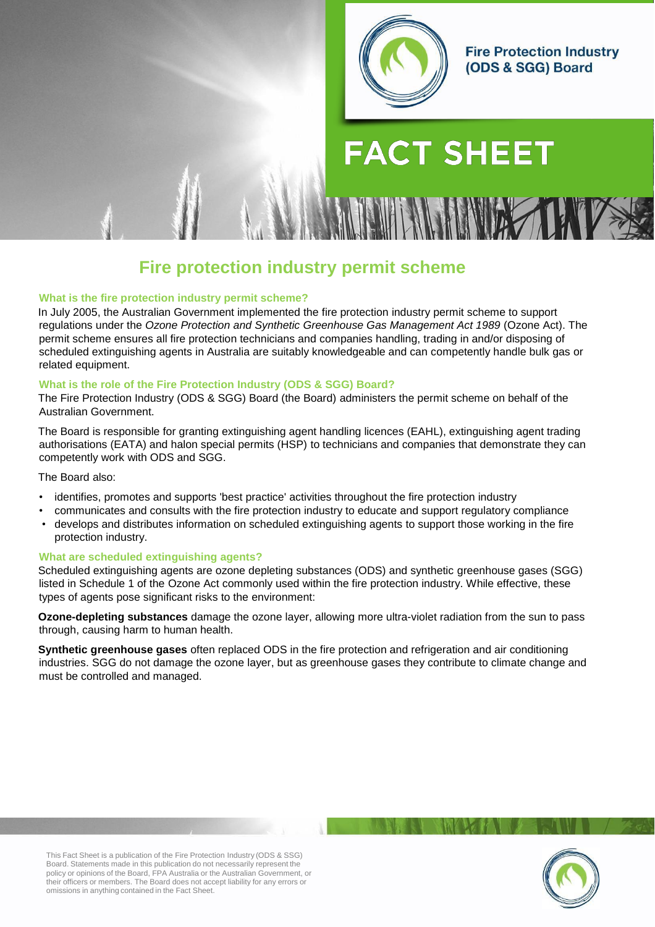

**Fire Protection Industry** (ODS & SGG) Board

# **FACT SHEET**

# **Fire protection industry permit scheme**

#### **What is the fire protection industry permit scheme?**

In July 2005, the Australian Government implemented the fire protection industry permit scheme to support regulations under the *Ozone Protection and Synthetic Greenhouse Gas Management Act 1989* (Ozone Act). The permit scheme ensures all fire protection technicians and companies handling, trading in and/or disposing of scheduled extinguishing agents in Australia are suitably knowledgeable and can competently handle bulk gas or related equipment.

#### **What is the role of the Fire Protection Industry (ODS & SGG) Board?**

The Fire Protection Industry (ODS & SGG) Board (the Board) administers the permit scheme on behalf of the Australian Government.

The Board is responsible for granting extinguishing agent handling licences (EAHL), extinguishing agent trading authorisations (EATA) and halon special permits (HSP) to technicians and companies that demonstrate they can competently work with ODS and SGG.

#### The Board also:

- identifies, promotes and supports 'best practice' activities throughout the fire protection industry
- communicates and consults with the fire protection industry to educate and support regulatory compliance
- develops and distributes information on scheduled extinguishing agents to support those working in the fire protection industry.

#### **What are scheduled extinguishing agents?**

Scheduled extinguishing agents are ozone depleting substances (ODS) and synthetic greenhouse gases (SGG) listed in Schedule 1 of the Ozone Act commonly used within the fire protection industry. While effective, these types of agents pose significant risks to the environment:

**Ozone-depleting substances** damage the ozone layer, allowing more ultra-violet radiation from the sun to pass through, causing harm to human health.

**Synthetic greenhouse gases** often replaced ODS in the fire protection and refrigeration and air conditioning industries. SGG do not damage the ozone layer, but as greenhouse gases they contribute to climate change and must be controlled and managed.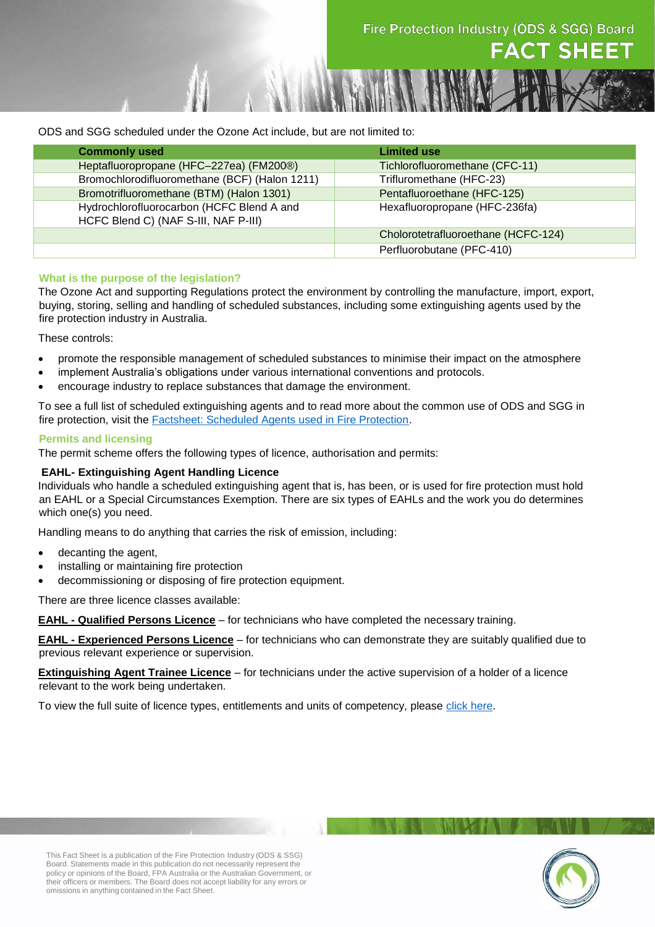ODS and SGG scheduled under the Ozone Act include, but are not limited to:

| <b>Commonly used</b>                                                              | <b>Limited use</b>                  |
|-----------------------------------------------------------------------------------|-------------------------------------|
| Heptafluoropropane (HFC-227ea) (FM200®)                                           | Tichlorofluoromethane (CFC-11)      |
| Bromochlorodifluoromethane (BCF) (Halon 1211)                                     | Trifluromethane (HFC-23)            |
| Bromotrifluoromethane (BTM) (Halon 1301)                                          | Pentafluoroethane (HFC-125)         |
| Hydrochlorofluorocarbon (HCFC Blend A and<br>HCFC Blend C) (NAF S-III, NAF P-III) | Hexafluoropropane (HFC-236fa)       |
|                                                                                   | Cholorotetrafluoroethane (HCFC-124) |
|                                                                                   | Perfluorobutane (PFC-410)           |

# **What is the purpose of the legislation?**

The Ozone Act and supporting Regulations protect the environment by controlling the manufacture, import, export, buying, storing, selling and handling of scheduled substances, including some extinguishing agents used by the fire protection industry in Australia.

These controls:

- promote the responsible management of scheduled substances to minimise their impact on the atmosphere
- implement Australia's obligations under various international conventions and protocols.
- encourage industry to replace substances that damage the environment.

To see a full list of scheduled extinguishing agents and to read more about the common use of ODS and SGG in fire protection, visit the [Factsheet: Scheduled Agents used in Fire Protection.](http://www.fpaa.com.au/media/49547/scheduled_agents_fact_sheet.pdf)

# **Permits and licensing**

The permit scheme offers the following types of licence, authorisation and permits:

# **EAHL- Extinguishing Agent Handling Licence**

Individuals who handle a scheduled extinguishing agent that is, has been, or is used for fire protection must hold an EAHL or a Special Circumstances Exemption. There are six types of EAHLs and the work you do determines which one(s) you need.

Handling means to do anything that carries the risk of emission, including:

- decanting the agent,
- installing or maintaining fire protection
- decommissioning or disposing of fire protection equipment.

There are three licence classes available:

**EAHL - Qualified Persons Licence** – for technicians who have completed the necessary training.

**EAHL - Experienced Persons Licence** – for technicians who can demonstrate they are suitably qualified due to previous relevant experience or supervision.

**Extinguishing Agent Trainee Licence** – for technicians under the active supervision of a holder of a licence relevant to the work being undertaken.

To view the full suite of licence types, entitlements and units of competency, please [click here.](http://fpib.com.au/media/193265/entitlements_and_units_of_competency.pdf)

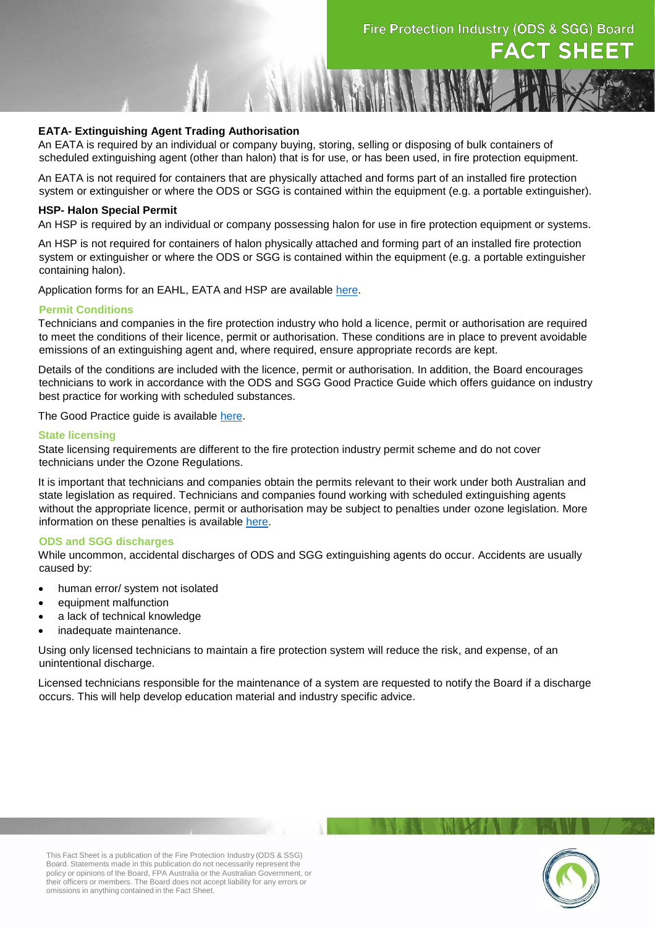#### **EATA- Extinguishing Agent Trading Authorisation**

An EATA is required by an individual or company buying, storing, selling or disposing of bulk containers of scheduled extinguishing agent (other than halon) that is for use, or has been used, in fire protection equipment.

An EATA is not required for containers that are physically attached and forms part of an installed fire protection system or extinguisher or where the ODS or SGG is contained within the equipment (e.g. a portable extinguisher).

#### **HSP- Halon Special Permit**

An HSP is required by an individual or company possessing halon for use in fire protection equipment or systems.

An HSP is not required for containers of halon physically attached and forming part of an installed fire protection system or extinguisher or where the ODS or SGG is contained within the equipment (e.g. a portable extinguisher containing halon).

Application forms for an EAHL, EATA and HSP are available [here.](http://www.fpib.com.au/licensing.aspx)

#### **Permit Conditions**

Technicians and companies in the fire protection industry who hold a licence, permit or authorisation are required to meet the conditions of their licence, permit or authorisation. These conditions are in place to prevent avoidable emissions of an extinguishing agent and, where required, ensure appropriate records are kept.

Details of the conditions are included with the licence, permit or authorisation. In addition, the Board encourages technicians to work in accordance with the ODS and SGG Good Practice Guide which offers guidance on industry best practice for working with scheduled substances.

The Good Practice guide is available [here.](http://www.fpib.com.au/ozone/good-practice-guide.)

#### **State licensing**

State licensing requirements are different to the fire protection industry permit scheme and do not cover technicians under the Ozone Regulations.

It is important that technicians and companies obtain the permits relevant to their work under both Australian and state legislation as required. Technicians and companies found working with scheduled extinguishing agents without the appropriate licence, permit or authorisation may be subject to penalties under ozone legislation. More information on these penalties is available [here.](http://fpib.com.au/media/135064/penalties_factsheet__august_2018.pdf.)

#### **ODS and SGG discharges**

While uncommon, accidental discharges of ODS and SGG extinguishing agents do occur. Accidents are usually caused by:

- human error/ system not isolated
- equipment malfunction
- a lack of technical knowledge
- inadequate maintenance.

Using only licensed technicians to maintain a fire protection system will reduce the risk, and expense, of an unintentional discharge.

Licensed technicians responsible for the maintenance of a system are requested to notify the Board if a discharge occurs. This will help develop education material and industry specific advice.